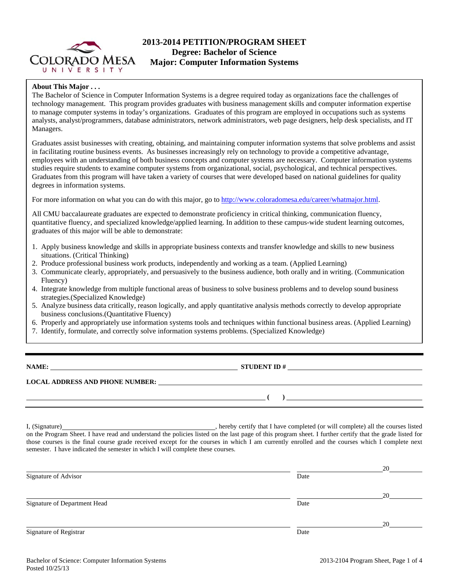

# **2013-2014 PETITION/PROGRAM SHEET Degree: Bachelor of Science Major: Computer Information Systems**

## **About This Major . . .**

The Bachelor of Science in Computer Information Systems is a degree required today as organizations face the challenges of technology management. This program provides graduates with business management skills and computer information expertise to manage computer systems in today's organizations. Graduates of this program are employed in occupations such as systems analysts, analyst/programmers, database administrators, network administrators, web page designers, help desk specialists, and IT Managers.

Graduates assist businesses with creating, obtaining, and maintaining computer information systems that solve problems and assist in facilitating routine business events. As businesses increasingly rely on technology to provide a competitive advantage, employees with an understanding of both business concepts and computer systems are necessary. Computer information systems studies require students to examine computer systems from organizational, social, psychological, and technical perspectives. Graduates from this program will have taken a variety of courses that were developed based on national guidelines for quality degrees in information systems.

For more information on what you can do with this major, go to http://www.coloradomesa.edu/career/whatmajor.html.

All CMU baccalaureate graduates are expected to demonstrate proficiency in critical thinking, communication fluency, quantitative fluency, and specialized knowledge/applied learning. In addition to these campus-wide student learning outcomes, graduates of this major will be able to demonstrate:

- 1. Apply business knowledge and skills in appropriate business contexts and transfer knowledge and skills to new business situations. (Critical Thinking)
- 2. Produce professional business work products, independently and working as a team. (Applied Learning)
- 3. Communicate clearly, appropriately, and persuasively to the business audience, both orally and in writing. (Communication Fluency)
- 4. Integrate knowledge from multiple functional areas of business to solve business problems and to develop sound business strategies.(Specialized Knowledge)
- 5. Analyze business data critically, reason logically, and apply quantitative analysis methods correctly to develop appropriate business conclusions.(Quantitative Fluency)
- 6. Properly and appropriately use information systems tools and techniques within functional business areas. (Applied Learning)
- 7. Identify, formulate, and correctly solve information systems problems. (Specialized Knowledge)

**NAMES IN STUDENT ID #** 

## **LOCAL ADDRESS AND PHONE NUMBER:**

 **( )** 

I, (Signature)
U. Signature
U. Signature
U. Signature
U. Signature
U. Signature
U. Signature
U. Signature
U. Signature
U. Signature
U. Signature
U. Signature
U. Signature
U. Signature
U. Signature
U. Signature
U. Signature on the Program Sheet. I have read and understand the policies listed on the last page of this program sheet. I further certify that the grade listed for those courses is the final course grade received except for the courses in which I am currently enrolled and the courses which I complete next semester. I have indicated the semester in which I will complete these courses.

|                              |      | 20 |
|------------------------------|------|----|
| Signature of Advisor         | Date |    |
|                              |      |    |
|                              |      | 20 |
| Signature of Department Head | Date |    |
|                              |      | 20 |
| Signature of Registrar       | Date |    |
|                              |      |    |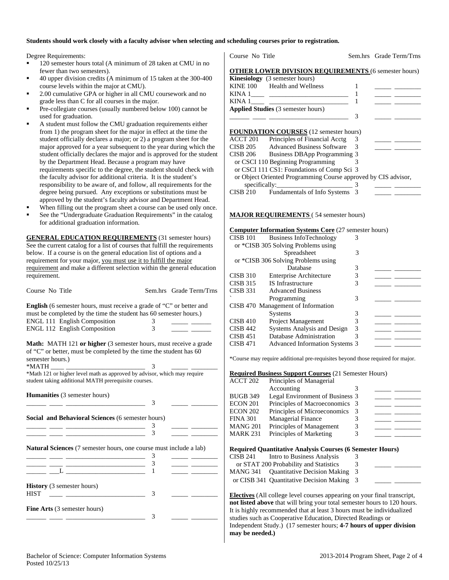### **Students should work closely with a faculty advisor when selecting and scheduling courses prior to registration.**

Degree Requirements:

- 120 semester hours total (A minimum of 28 taken at CMU in no fewer than two semesters).
- 40 upper division credits (A minimum of 15 taken at the 300-400 course levels within the major at CMU).
- 2.00 cumulative GPA or higher in all CMU coursework and no grade less than C for all courses in the major.
- Pre-collegiate courses (usually numbered below 100) cannot be used for graduation.
- A student must follow the CMU graduation requirements either from 1) the program sheet for the major in effect at the time the student officially declares a major; or 2) a program sheet for the major approved for a year subsequent to the year during which the student officially declares the major and is approved for the student by the Department Head. Because a program may have requirements specific to the degree, the student should check with the faculty advisor for additional criteria. It is the student's responsibility to be aware of, and follow, all requirements for the degree being pursued. Any exceptions or substitutions must be approved by the student's faculty advisor and Department Head.
- When filling out the program sheet a course can be used only once.
- See the "Undergraduate Graduation Requirements" in the catalog for additional graduation information.

**GENERAL EDUCATION REQUIREMENTS** (31 semester hours) See the current catalog for a list of courses that fulfill the requirements below. If a course is on the general education list of options and a requirement for your major, you must use it to fulfill the major requirement and make a different selection within the general education requirement.

| Course No Title                                                                                                                                  |   | Sem.hrs Grade Term/Trns |
|--------------------------------------------------------------------------------------------------------------------------------------------------|---|-------------------------|
| <b>English</b> (6 semester hours, must receive a grade of "C" or better and<br>must be completed by the time the student has 60 semester hours.) |   |                         |
| <b>ENGL 111 English Composition</b>                                                                                                              |   |                         |
| <b>ENGL 112 English Composition</b>                                                                                                              | 3 |                         |

**Math:** MATH 121 or higher (3 semester hours, must receive a grade of "C" or better, must be completed by the time the student has 60 semester hours.)

| *MATH                                                                    |  |
|--------------------------------------------------------------------------|--|
| *Math 121 or higher level math as approved by advisor, which may require |  |
| student taking additional MATH prerequisite courses.                     |  |

| <b>Humanities</b> (3 semester hours)                                                                                                                                                                                                                                                             |   |  |
|--------------------------------------------------------------------------------------------------------------------------------------------------------------------------------------------------------------------------------------------------------------------------------------------------|---|--|
|                                                                                                                                                                                                                                                                                                  | 3 |  |
| <b>Social and Behavioral Sciences</b> (6 semester hours)                                                                                                                                                                                                                                         |   |  |
|                                                                                                                                                                                                                                                                                                  | 3 |  |
|                                                                                                                                                                                                                                                                                                  | 3 |  |
|                                                                                                                                                                                                                                                                                                  |   |  |
| <b>Natural Sciences</b> (7 semester hours, one course must include a lab)                                                                                                                                                                                                                        |   |  |
|                                                                                                                                                                                                                                                                                                  |   |  |
|                                                                                                                                                                                                                                                                                                  | 3 |  |
| $\mathbf{L}$ and $\mathbf{L}$ and $\mathbf{L}$ and $\mathbf{L}$ and $\mathbf{L}$ and $\mathbf{L}$ and $\mathbf{L}$ and $\mathbf{L}$ and $\mathbf{L}$ and $\mathbf{L}$ and $\mathbf{L}$ and $\mathbf{L}$ and $\mathbf{L}$ and $\mathbf{L}$ and $\mathbf{L}$ and $\mathbf{L}$ and $\mathbf{L}$ and |   |  |
| <b>History</b> (3 semester hours)                                                                                                                                                                                                                                                                |   |  |
| HIST                                                                                                                                                                                                                                                                                             | 3 |  |
| <b>Fine Arts</b> (3 semester hours)                                                                                                                                                                                                                                                              |   |  |
|                                                                                                                                                                                                                                                                                                  | 3 |  |

Course No Title Sem.hrs Grade Term/Trns **OTHER LOWER DIVISION REQUIREMENTS (6 semester hours)** 

|               | <b>Kinesiology</b> (3 semester hours)                          |   |  |
|---------------|----------------------------------------------------------------|---|--|
|               | KINE 100 Health and Wellness                                   |   |  |
|               | KINA $1 \_$                                                    |   |  |
| KINA 1        |                                                                |   |  |
|               | <b>Applied Studies</b> (3 semester hours)                      |   |  |
|               |                                                                |   |  |
|               | <b>FOUNDATION COURSES</b> (12 semester hours)                  |   |  |
| ACCT 201      | Principles of Financial Acctg                                  | 3 |  |
| CISB 205      | <b>Advanced Business Software</b>                              |   |  |
| CISB 206      | Business DBApp Programming 3                                   |   |  |
|               | or CSCI 110 Beginning Programming                              |   |  |
|               | or CSCI 111 CS1: Foundations of Comp Sci 3                     |   |  |
|               | or Object Oriented Programming Course approved by CIS advisor, |   |  |
| specifically: |                                                                |   |  |
|               | CISB 210 Fundamentals of Info Systems                          |   |  |

### **MAJOR REQUIREMENTS** (54 semester hours)

#### **Computer Information Systems Core** (27 semester hours)

| <b>CISB 101</b> | <b>Business InfoTechnology</b>        | 3 |  |
|-----------------|---------------------------------------|---|--|
|                 | or *CISB 305 Solving Problems using   |   |  |
|                 | Spreadsheet                           | 3 |  |
|                 | or *CISB 306 Solving Problems using   |   |  |
|                 | Database                              | 3 |  |
| <b>CISB 310</b> | <b>Enterprise Architecture</b>        | 3 |  |
| <b>CISB 315</b> | <b>IS</b> Infrastructure              | 3 |  |
| <b>CISB 331</b> | <b>Advanced Business</b>              |   |  |
|                 | Programming                           | 3 |  |
|                 | CISB 470 Management of Information    |   |  |
|                 | <b>Systems</b>                        | 3 |  |
| <b>CISB 410</b> | Project Management                    | 3 |  |
| <b>CISB 442</b> | Systems Analysis and Design           | 3 |  |
| <b>CISB 451</b> | Database Administration               | 3 |  |
| <b>CISB 471</b> | <b>Advanced Information Systems 3</b> |   |  |
|                 |                                       |   |  |

\*Course may require additional pre-requisites beyond those required for major.

#### **Required Business Support Courses** (21 Semester Hours)

| ACCT 202        | Principles of Managerial        |  |  |
|-----------------|---------------------------------|--|--|
|                 | Accounting                      |  |  |
| <b>BUGB 349</b> | Legal Environment of Business 3 |  |  |
| ECON 201        | Principles of Macroeconomics 3  |  |  |
| ECON 202        | Principles of Microeconomics    |  |  |
| <b>FINA 301</b> | <b>Managerial Finance</b>       |  |  |
| MANG 201        | Principles of Management        |  |  |
| <b>MARK 231</b> | Principles of Marketing         |  |  |
|                 |                                 |  |  |

#### **Required Quantitative Analysis Courses (6 Semester Hours)**

| CISB 241 | Intro to Business Analysis                 | 3 |  |
|----------|--------------------------------------------|---|--|
|          | or STAT 200 Probability and Statistics     | 3 |  |
|          | MANG 341 Ouantitative Decision Making 3    |   |  |
|          | or CISB 341 Quantitative Decision Making 3 |   |  |
|          |                                            |   |  |

**Electives** (All college level courses appearing on your final transcript, **not listed above** that will bring your total semester hours to 120 hours. It is highly recommended that at least 3 hours must be individualized studies such as Cooperative Education, Directed Readings or Independent Study.) (17 semester hours; **4-7 hours of upper division may be needed.)**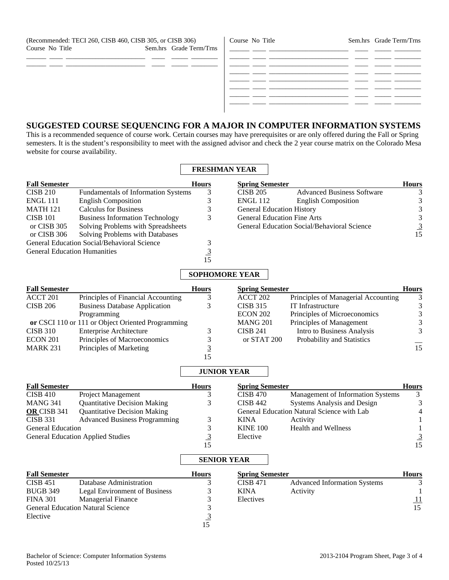(Recommended: TECI 260, CISB 460, CISB 305, or CISB 306) Course No Title Sem.hrs Grade Term/Trns \_\_\_\_\_\_ \_\_\_\_ \_\_\_\_\_\_\_\_\_\_\_\_\_\_\_\_\_\_\_\_\_\_\_\_ \_\_\_\_ \_\_\_\_\_ \_\_\_\_\_\_\_\_

\_\_\_\_\_\_ \_\_\_\_ \_\_\_\_\_\_\_\_\_\_\_\_\_\_\_\_\_\_\_\_\_\_\_\_ \_\_\_\_ \_\_\_\_\_ \_\_\_\_\_\_\_\_

**Fall Semester**  $CISB 210$ ENGL 111 MATH 121<br>CISB 101

General Education Humanities

| Course No Title | Sem.hrs Grade Term/Trns |
|-----------------|-------------------------|
|                 |                         |
|                 |                         |
|                 |                         |
|                 |                         |
|                 |                         |
|                 |                         |
|                 |                         |

# **SUGGESTED COURSE SEQUENCING FOR A MAJOR IN COMPUTER INFORMATION SYSTEMS**

This is a recommended sequence of course work. Certain courses may have prerequisites or are only offered during the Fall or Spring semesters. It is the student's responsibility to meet with the assigned advisor and check the 2 year course matrix on the Colorado Mesa website for course availability.

|                                            |              | <b>FRESHMAN YEAR</b> |
|--------------------------------------------|--------------|----------------------|
|                                            | <b>Hours</b> | <b>Spring</b>        |
| <b>Fundamentals of Information Systems</b> |              | CISB 2               |
| <b>English Composition</b>                 |              | <b>ENGL</b>          |
| <b>Calculus for Business</b>               | 2            | Genera               |

Business Information Technology 3

 or CISB 305 Solving Problems with Spreadsheets or CISB 306 Solving Problems with Databases

General Education Social/Behavioral Science<br>General Education Humanities<br>15

15

| <b>Spring Semester</b>                               | Hours |
|------------------------------------------------------|-------|
| <b>CISB 205</b><br><b>Advanced Business Software</b> |       |
| <b>ENGL 112</b><br><b>English Composition</b>        |       |
| <b>General Education History</b>                     |       |
| <b>General Education Fine Arts</b>                   |       |
| General Education Social/Behavioral Science          |       |
|                                                      |       |

# **SOPHOMORE YEAR**

| <b>Fall Semester</b> |                                                   | <b>Hours</b> | <b>Spring Semester</b> |                                     | <b>Hours</b> |
|----------------------|---------------------------------------------------|--------------|------------------------|-------------------------------------|--------------|
| ACCT 201             | Principles of Financial Accounting                |              | ACCT 202               | Principles of Managerial Accounting | 3            |
| <b>CISB 206</b>      | <b>Business Database Application</b>              |              | <b>CISB 315</b>        | IT Infrastructure                   | 3            |
|                      | Programming                                       |              | <b>ECON 202</b>        | Principles of Microeconomics        | 3            |
|                      | or CSCI 110 or 111 or Object Oriented Programming |              | <b>MANG 201</b>        | Principles of Management            | 3            |
| <b>CISB 310</b>      | <b>Enterprise Architecture</b>                    |              | <b>CISB 241</b>        | Intro to Business Analysis          | 3            |
| <b>ECON 201</b>      | Principles of Macroeconomics                      |              | or STAT 200            | Probability and Statistics          |              |
| <b>MARK 231</b>      | Principles of Marketing                           |              |                        |                                     | 15           |
|                      |                                                   |              |                        |                                     |              |

## **JUNIOR YEAR**

| <b>Fall Semester</b>                     |                                      | <b>Hours</b>   | <b>Spring Semester</b>                     |                                     | <b>Hours</b>   |  |
|------------------------------------------|--------------------------------------|----------------|--------------------------------------------|-------------------------------------|----------------|--|
| CISB <sub>410</sub>                      | Project Management                   |                | <b>CISB 470</b>                            | Management of Information Systems   | 3              |  |
| <b>MANG 341</b>                          | <b>Quantitative Decision Making</b>  | 3              | <b>CISB 442</b>                            | <b>Systems Analysis and Design</b>  | 3              |  |
| OR CISB 341                              | <b>Quantitative Decision Making</b>  |                | General Education Natural Science with Lab |                                     | 4              |  |
| <b>CISB 331</b>                          | <b>Advanced Business Programming</b> | 3              | <b>KINA</b>                                | Activity                            |                |  |
| <b>General Education</b>                 |                                      | 3              | <b>KINE 100</b>                            | <b>Health and Wellness</b>          |                |  |
| <b>General Education Applied Studies</b> |                                      | $\overline{3}$ | Elective                                   |                                     | $\overline{3}$ |  |
|                                          |                                      | 15             |                                            |                                     | 15             |  |
|                                          |                                      |                | <b>SENIOR YEAR</b>                         |                                     |                |  |
| <b>Fall Semester</b>                     |                                      | <b>Hours</b>   | <b>Spring Semester</b>                     |                                     | <b>Hours</b>   |  |
| <b>CISB 451</b>                          | Database Administration              |                | <b>CISB 471</b>                            | <b>Advanced Information Systems</b> | 3              |  |
| <b>BUGB 349</b>                          | <b>Legal Environment of Business</b> |                | <b>KINA</b>                                | Activity                            |                |  |
| <b>FINA 301</b>                          | <b>Managerial Finance</b>            |                | Electives                                  |                                     | $\frac{11}{}$  |  |
| <b>General Education Natural Science</b> |                                      |                |                                            |                                     | 15             |  |
| Elective                                 |                                      |                |                                            |                                     |                |  |

15